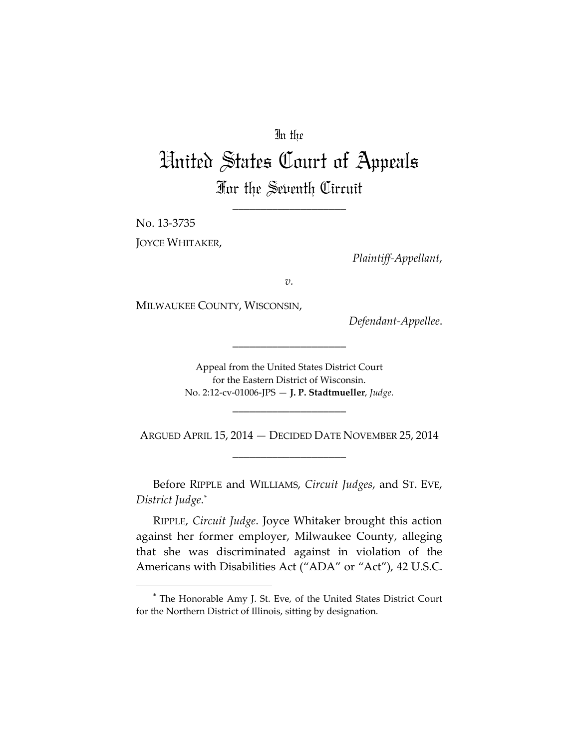## In the

# United States Court of Appeals For the Seventh Circuit

\_\_\_\_\_\_\_\_\_\_\_\_\_\_\_\_\_\_\_\_

No. 13-3735 JOYCE WHITAKER,

 $\overline{a}$ 

*Plaintiff-Appellant*,

*v.*

MILWAUKEE COUNTY, WISCONSIN,

*Defendant-Appellee*.

Appeal from the United States District Court for the Eastern District of Wisconsin. No. 2:12-cv-01006-JPS — **J. P. Stadtmueller**, *Judge*.

\_\_\_\_\_\_\_\_\_\_\_\_\_\_\_\_\_\_\_\_

ARGUED APRIL 15, 2014 — DECIDED DATE NOVEMBER 25, 2014 \_\_\_\_\_\_\_\_\_\_\_\_\_\_\_\_\_\_\_\_

\_\_\_\_\_\_\_\_\_\_\_\_\_\_\_\_\_\_\_\_

Before RIPPLE and WILLIAMS, *Circuit Judges*, and ST. EVE, *District Judge*.[\\*](#page-0-0)

RIPPLE, *Circuit Judge*. Joyce Whitaker brought this action against her former employer, Milwaukee County, alleging that she was discriminated against in violation of the Americans with Disabilities Act ("ADA" or "Act"), 42 U.S.C.

<span id="page-0-0"></span><sup>\*</sup> The Honorable Amy J. St. Eve, of the United States District Court for the Northern District of Illinois, sitting by designation.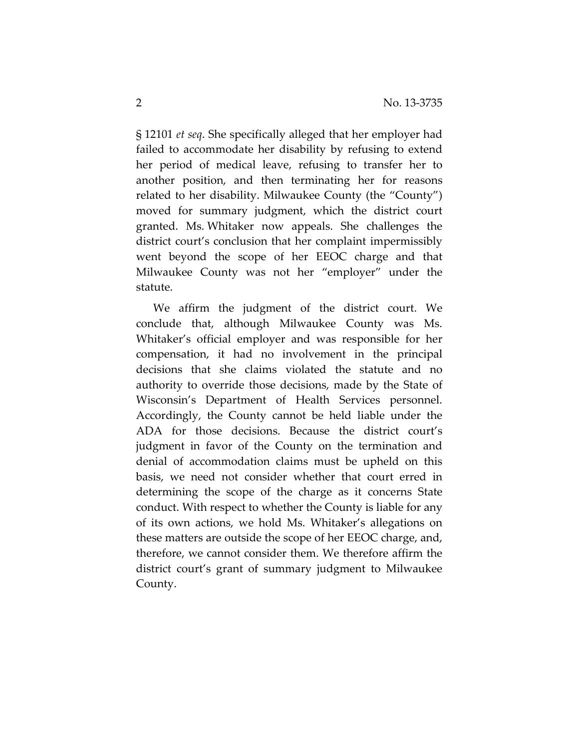§ 12101 *et seq*. She specifically alleged that her employer had failed to accommodate her disability by refusing to extend her period of medical leave, refusing to transfer her to another position, and then terminating her for reasons related to her disability. Milwaukee County (the "County") moved for summary judgment, which the district court granted. Ms. Whitaker now appeals. She challenges the district court's conclusion that her complaint impermissibly went beyond the scope of her EEOC charge and that Milwaukee County was not her "employer" under the statute.

We affirm the judgment of the district court. We conclude that, although Milwaukee County was Ms. Whitaker's official employer and was responsible for her compensation, it had no involvement in the principal decisions that she claims violated the statute and no authority to override those decisions, made by the State of Wisconsin's Department of Health Services personnel. Accordingly, the County cannot be held liable under the ADA for those decisions. Because the district court's judgment in favor of the County on the termination and denial of accommodation claims must be upheld on this basis, we need not consider whether that court erred in determining the scope of the charge as it concerns State conduct. With respect to whether the County is liable for any of its own actions, we hold Ms. Whitaker's allegations on these matters are outside the scope of her EEOC charge, and, therefore, we cannot consider them. We therefore affirm the district court's grant of summary judgment to Milwaukee County.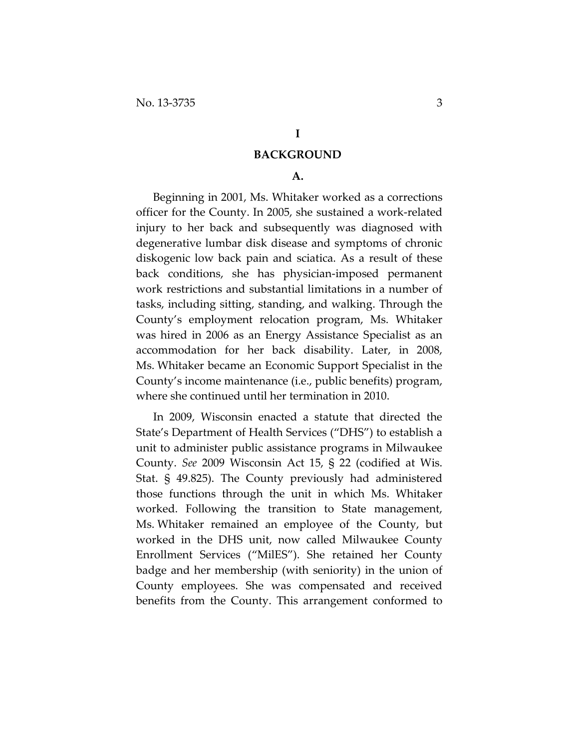#### **I**

### **BACKGROUND**

## **A.**

Beginning in 2001, Ms. Whitaker worked as a corrections officer for the County. In 2005, she sustained a work-related injury to her back and subsequently was diagnosed with degenerative lumbar disk disease and symptoms of chronic diskogenic low back pain and sciatica. As a result of these back conditions, she has physician-imposed permanent work restrictions and substantial limitations in a number of tasks, including sitting, standing, and walking. Through the County's employment relocation program, Ms. Whitaker was hired in 2006 as an Energy Assistance Specialist as an accommodation for her back disability. Later, in 2008, Ms. Whitaker became an Economic Support Specialist in the County's income maintenance (i.e., public benefits) program, where she continued until her termination in 2010.

In 2009, Wisconsin enacted a statute that directed the State's Department of Health Services ("DHS") to establish a unit to administer public assistance programs in Milwaukee County. *See* 2009 Wisconsin Act 15, § 22 (codified at Wis. Stat. § 49.825). The County previously had administered those functions through the unit in which Ms. Whitaker worked. Following the transition to State management, Ms. Whitaker remained an employee of the County, but worked in the DHS unit, now called Milwaukee County Enrollment Services ("MilES"). She retained her County badge and her membership (with seniority) in the union of County employees. She was compensated and received benefits from the County. This arrangement conformed to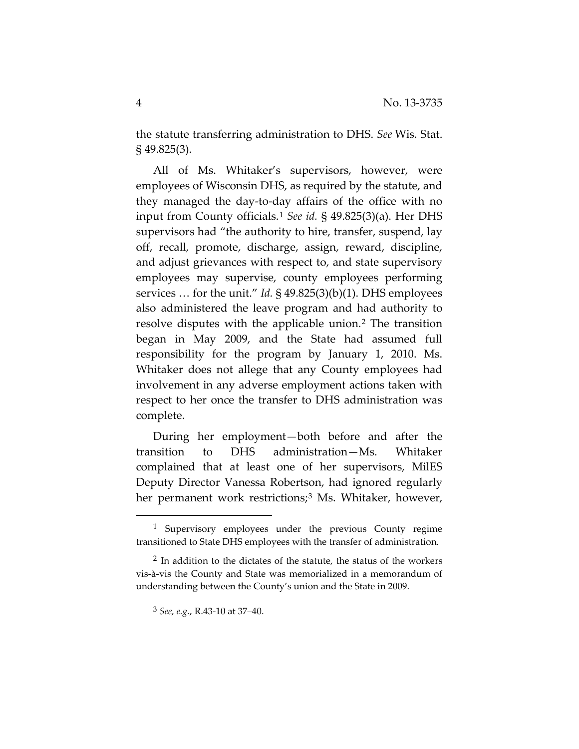the statute transferring administration to DHS. *See* Wis. Stat. § 49.825(3).

All of Ms. Whitaker's supervisors, however, were employees of Wisconsin DHS, as required by the statute, and they managed the day-to-day affairs of the office with no input from County officials.[1](#page-3-0) *See id.* § 49.825(3)(a). Her DHS supervisors had "the authority to hire, transfer, suspend, lay off, recall, promote, discharge, assign, reward, discipline, and adjust grievances with respect to, and state supervisory employees may supervise, county employees performing services … for the unit." *Id.* § 49.825(3)(b)(1). DHS employees also administered the leave program and had authority to resolve disputes with the applicable union.[2](#page-3-1) The transition began in May 2009, and the State had assumed full responsibility for the program by January 1, 2010. Ms. Whitaker does not allege that any County employees had involvement in any adverse employment actions taken with respect to her once the transfer to DHS administration was complete.

During her employment—both before and after the transition to DHS administration—Ms. Whitaker complained that at least one of her supervisors, MilES Deputy Director Vanessa Robertson, had ignored regularly her permanent work restrictions;<sup>[3](#page-3-2)</sup> Ms. Whitaker, however,

<span id="page-3-0"></span><sup>&</sup>lt;sup>1</sup> Supervisory employees under the previous County regime transitioned to State DHS employees with the transfer of administration.

<span id="page-3-2"></span><span id="page-3-1"></span> $2$  In addition to the dictates of the statute, the status of the workers vis-à-vis the County and State was memorialized in a memorandum of understanding between the County's union and the State in 2009.

<sup>3</sup> *See, e.g.*, R.43-10 at 37–40.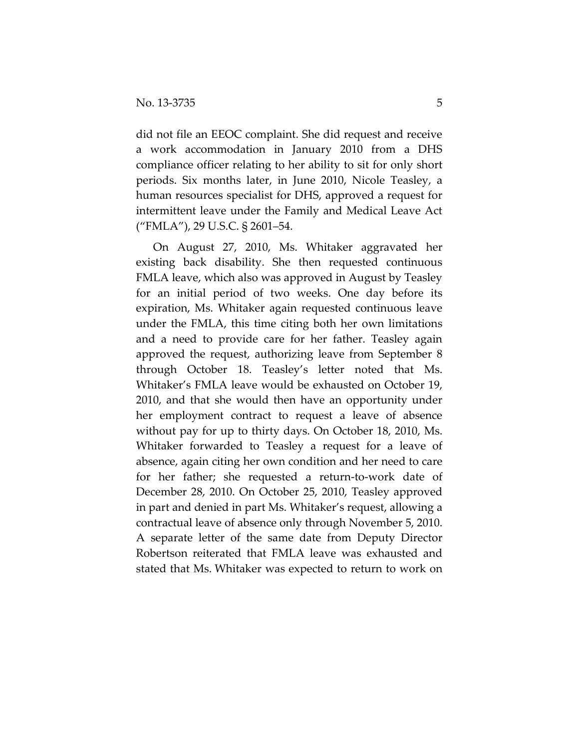did not file an EEOC complaint. She did request and receive a work accommodation in January 2010 from a DHS compliance officer relating to her ability to sit for only short periods. Six months later, in June 2010, Nicole Teasley, a human resources specialist for DHS, approved a request for intermittent leave under the Family and Medical Leave Act ("FMLA"), 29 U.S.C. § 2601–54.

On August 27, 2010, Ms. Whitaker aggravated her existing back disability. She then requested continuous FMLA leave, which also was approved in August by Teasley for an initial period of two weeks. One day before its expiration, Ms. Whitaker again requested continuous leave under the FMLA, this time citing both her own limitations and a need to provide care for her father. Teasley again approved the request, authorizing leave from September 8 through October 18. Teasley's letter noted that Ms. Whitaker's FMLA leave would be exhausted on October 19, 2010, and that she would then have an opportunity under her employment contract to request a leave of absence without pay for up to thirty days. On October 18, 2010, Ms. Whitaker forwarded to Teasley a request for a leave of absence, again citing her own condition and her need to care for her father; she requested a return-to-work date of December 28, 2010. On October 25, 2010, Teasley approved in part and denied in part Ms. Whitaker's request, allowing a contractual leave of absence only through November 5, 2010. A separate letter of the same date from Deputy Director Robertson reiterated that FMLA leave was exhausted and stated that Ms. Whitaker was expected to return to work on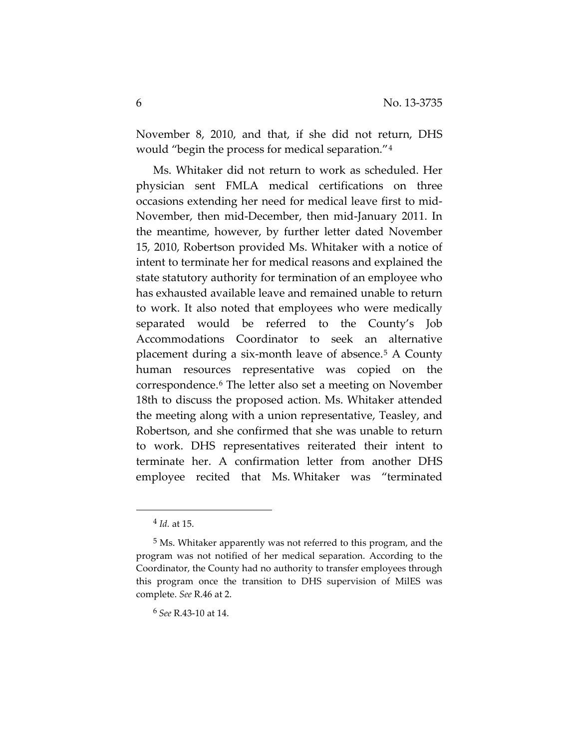November 8, 2010, and that, if she did not return, DHS would "begin the process for medical separation."[4](#page-5-0)

Ms. Whitaker did not return to work as scheduled. Her physician sent FMLA medical certifications on three occasions extending her need for medical leave first to mid-November, then mid-December, then mid-January 2011. In the meantime, however, by further letter dated November 15, 2010, Robertson provided Ms. Whitaker with a notice of intent to terminate her for medical reasons and explained the state statutory authority for termination of an employee who has exhausted available leave and remained unable to return to work. It also noted that employees who were medically separated would be referred to the County's Job Accommodations Coordinator to seek an alternative placement during a six-month leave of absence.[5](#page-5-1) A County human resources representative was copied on the correspondence.[6](#page-5-2) The letter also set a meeting on November 18th to discuss the proposed action. Ms. Whitaker attended the meeting along with a union representative, Teasley, and Robertson, and she confirmed that she was unable to return to work. DHS representatives reiterated their intent to terminate her. A confirmation letter from another DHS employee recited that Ms. Whitaker was "terminated

 $\overline{a}$ 

6 *See* R.43-10 at 14.

<sup>4</sup> *Id.* at 15.

<span id="page-5-2"></span><span id="page-5-1"></span><span id="page-5-0"></span><sup>5</sup> Ms. Whitaker apparently was not referred to this program, and the program was not notified of her medical separation. According to the Coordinator, the County had no authority to transfer employees through this program once the transition to DHS supervision of MilES was complete. *See* R.46 at 2.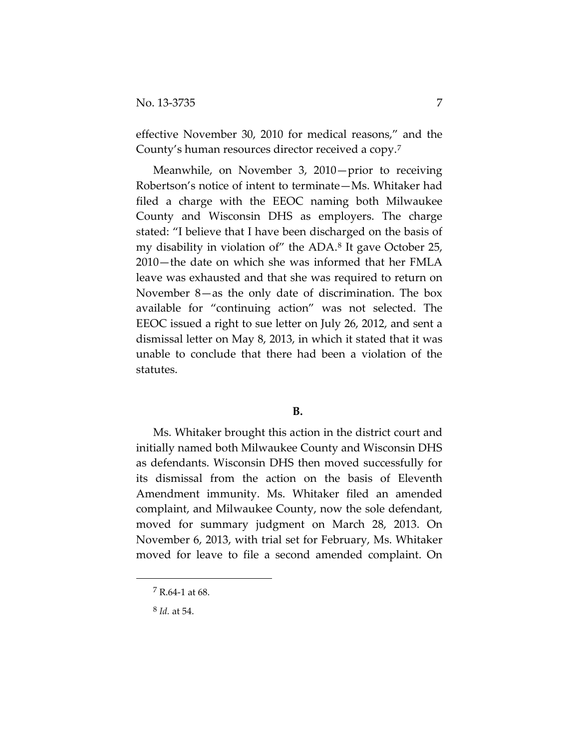effective November 30, 2010 for medical reasons," and the County's human resources director received a copy.[7](#page-6-0)

Meanwhile, on November 3, 2010—prior to receiving Robertson's notice of intent to terminate—Ms. Whitaker had filed a charge with the EEOC naming both Milwaukee County and Wisconsin DHS as employers. The charge stated: "I believe that I have been discharged on the basis of my disability in violation of" the ADA[.8](#page-6-1) It gave October 25, 2010—the date on which she was informed that her FMLA leave was exhausted and that she was required to return on November 8—as the only date of discrimination. The box available for "continuing action" was not selected. The EEOC issued a right to sue letter on July 26, 2012, and sent a dismissal letter on May 8, 2013, in which it stated that it was unable to conclude that there had been a violation of the statutes.

## **B.**

Ms. Whitaker brought this action in the district court and initially named both Milwaukee County and Wisconsin DHS as defendants. Wisconsin DHS then moved successfully for its dismissal from the action on the basis of Eleventh Amendment immunity. Ms. Whitaker filed an amended complaint, and Milwaukee County, now the sole defendant, moved for summary judgment on March 28, 2013. On November 6, 2013, with trial set for February, Ms. Whitaker moved for leave to file a second amended complaint. On

 $7 R.64-1$  at 68.

<span id="page-6-1"></span><span id="page-6-0"></span><sup>8</sup> *Id.* at 54.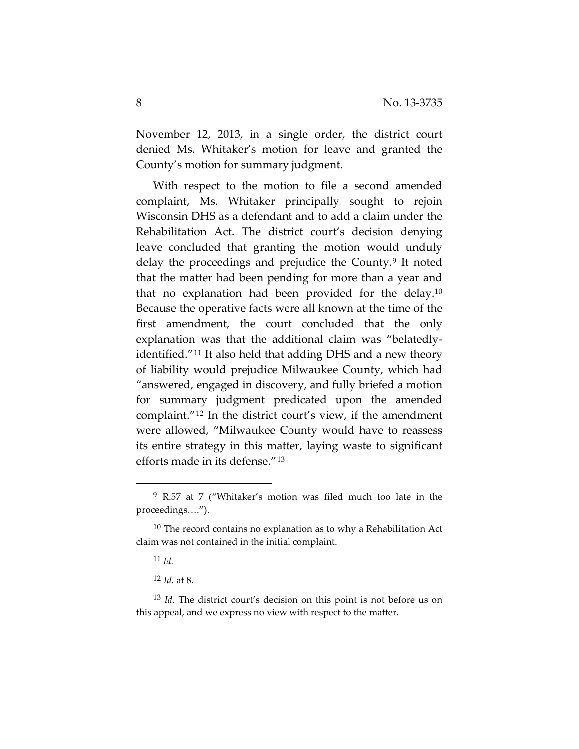November 12, 2013, in a single order, the district court denied Ms. Whitaker's motion for leave and granted the County's motion for summary judgment.

With respect to the motion to file a second amended complaint, Ms. Whitaker principally sought to rejoin Wisconsin DHS as a defendant and to add a claim under the Rehabilitation Act. The district court's decision denying leave concluded that granting the motion would unduly delay the proceedings and prejudice the County.[9](#page-7-0) It noted that the matter had been pending for more than a year and that no explanation had been provided for the delay.[10](#page-7-1) Because the operative facts were all known at the time of the first amendment, the court concluded that the only explanation was that the additional claim was "belatedlyidentified."[11](#page-7-2) It also held that adding DHS and a new theory of liability would prejudice Milwaukee County, which had "answered, engaged in discovery, and fully briefed a motion for summary judgment predicated upon the amended complaint."[12](#page-7-3) In the district court's view, if the amendment were allowed, "Milwaukee County would have to reassess its entire strategy in this matter, laying waste to significant efforts made in its defense."[13](#page-7-4)

<span id="page-7-0"></span><sup>9</sup> R.57 at 7 ("Whitaker's motion was filed much too late in the proceedings….").

<span id="page-7-2"></span><span id="page-7-1"></span> $10$  The record contains no explanation as to why a Rehabilitation Act claim was not contained in the initial complaint.

<sup>11</sup> *Id.*

<sup>12</sup> *Id.* at 8.

<span id="page-7-4"></span><span id="page-7-3"></span><sup>13</sup> *Id.* The district court's decision on this point is not before us on this appeal, and we express no view with respect to the matter.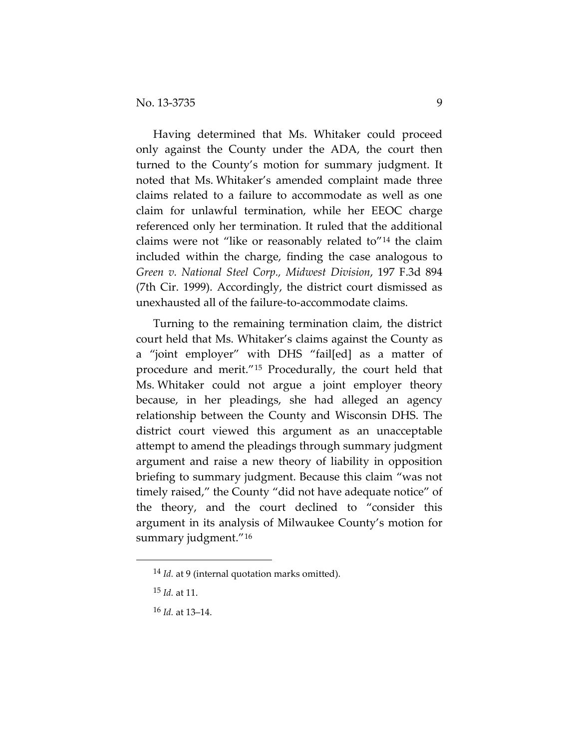Having determined that Ms. Whitaker could proceed only against the County under the ADA, the court then turned to the County's motion for summary judgment. It noted that Ms. Whitaker's amended complaint made three claims related to a failure to accommodate as well as one claim for unlawful termination, while her EEOC charge referenced only her termination. It ruled that the additional claims were not "like or reasonably related to"[14](#page-8-0) the claim included within the charge, finding the case analogous to *Green v. National Steel Corp., Midwest Division*, 197 F.3d 894 (7th Cir. 1999). Accordingly, the district court dismissed as unexhausted all of the failure-to-accommodate claims.

Turning to the remaining termination claim, the district court held that Ms. Whitaker's claims against the County as a "joint employer" with DHS "fail[ed] as a matter of procedure and merit."[15](#page-8-1) Procedurally, the court held that Ms. Whitaker could not argue a joint employer theory because, in her pleadings, she had alleged an agency relationship between the County and Wisconsin DHS. The district court viewed this argument as an unacceptable attempt to amend the pleadings through summary judgment argument and raise a new theory of liability in opposition briefing to summary judgment. Because this claim "was not timely raised," the County "did not have adequate notice" of the theory, and the court declined to "consider this argument in its analysis of Milwaukee County's motion for summary judgment."[16](#page-8-2)

<span id="page-8-0"></span><sup>14</sup> *Id.* at 9 (internal quotation marks omitted).

<span id="page-8-1"></span><sup>15</sup> *Id.* at 11.

<span id="page-8-2"></span><sup>16</sup> *Id.* at 13–14.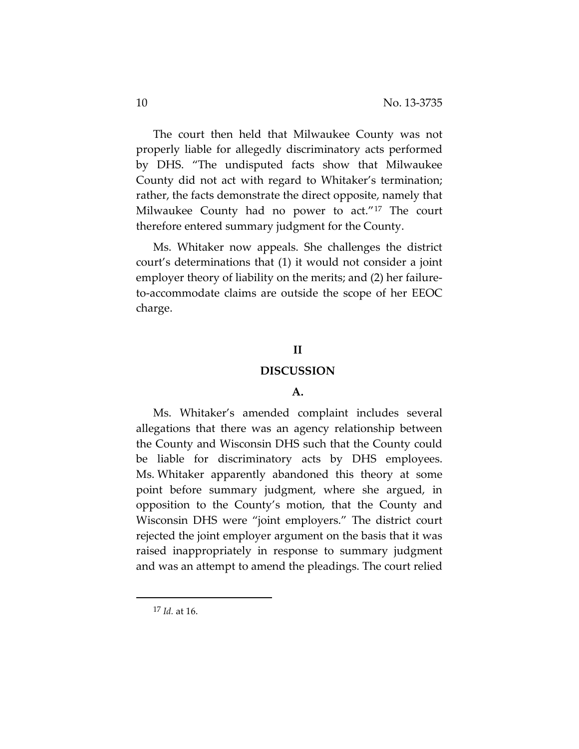The court then held that Milwaukee County was not properly liable for allegedly discriminatory acts performed by DHS. "The undisputed facts show that Milwaukee County did not act with regard to Whitaker's termination; rather, the facts demonstrate the direct opposite, namely that Milwaukee County had no power to act."[17](#page-9-0) The court therefore entered summary judgment for the County.

Ms. Whitaker now appeals. She challenges the district court's determinations that (1) it would not consider a joint employer theory of liability on the merits; and (2) her failureto-accommodate claims are outside the scope of her EEOC charge.

## **II**

#### **DISCUSSION**

#### **A.**

Ms. Whitaker's amended complaint includes several allegations that there was an agency relationship between the County and Wisconsin DHS such that the County could be liable for discriminatory acts by DHS employees. Ms. Whitaker apparently abandoned this theory at some point before summary judgment, where she argued, in opposition to the County's motion, that the County and Wisconsin DHS were "joint employers." The district court rejected the joint employer argument on the basis that it was raised inappropriately in response to summary judgment and was an attempt to amend the pleadings. The court relied

<span id="page-9-0"></span><sup>17</sup> *Id.* at 16.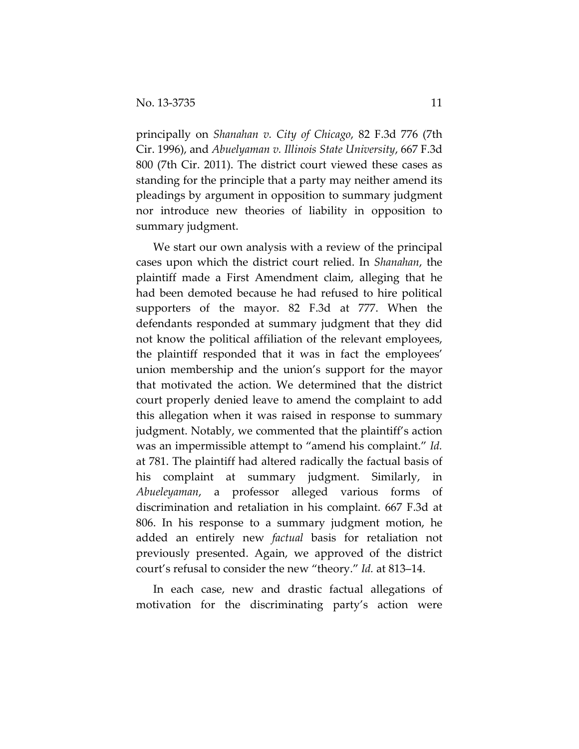principally on *Shanahan v. City of Chicago*, 82 F.3d 776 (7th Cir. 1996), and *Abuelyaman v. Illinois State University*, 667 F.3d 800 (7th Cir. 2011). The district court viewed these cases as standing for the principle that a party may neither amend its pleadings by argument in opposition to summary judgment nor introduce new theories of liability in opposition to summary judgment.

We start our own analysis with a review of the principal cases upon which the district court relied. In *Shanahan*, the plaintiff made a First Amendment claim, alleging that he had been demoted because he had refused to hire political supporters of the mayor. 82 F.3d at 777. When the defendants responded at summary judgment that they did not know the political affiliation of the relevant employees, the plaintiff responded that it was in fact the employees' union membership and the union's support for the mayor that motivated the action. We determined that the district court properly denied leave to amend the complaint to add this allegation when it was raised in response to summary judgment. Notably, we commented that the plaintiff's action was an impermissible attempt to "amend his complaint." *Id.*  at 781. The plaintiff had altered radically the factual basis of his complaint at summary judgment. Similarly, in *Abueleyaman*, a professor alleged various forms of discrimination and retaliation in his complaint. 667 F.3d at 806. In his response to a summary judgment motion, he added an entirely new *factual* basis for retaliation not previously presented. Again, we approved of the district court's refusal to consider the new "theory." *Id.* at 813–14.

In each case, new and drastic factual allegations of motivation for the discriminating party's action were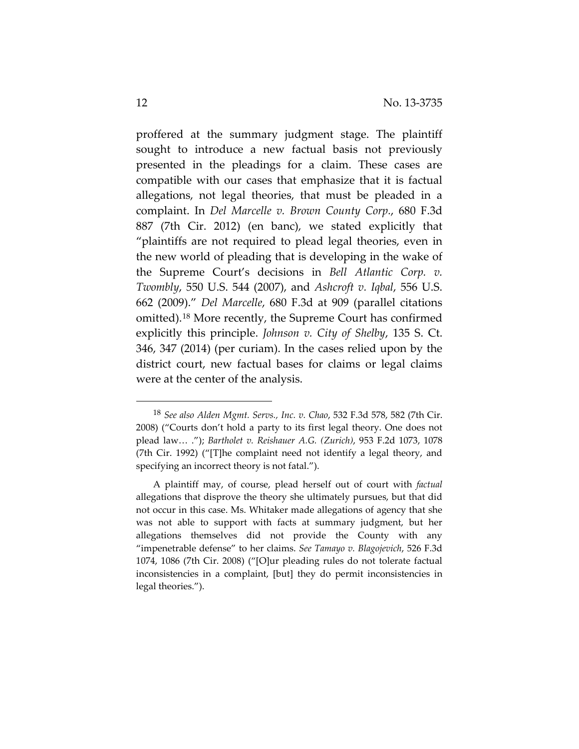proffered at the summary judgment stage. The plaintiff sought to introduce a new factual basis not previously presented in the pleadings for a claim. These cases are compatible with our cases that emphasize that it is factual allegations, not legal theories, that must be pleaded in a complaint. In *Del Marcelle v. Brown County Corp.*, 680 F.3d 887 (7th Cir. 2012) (en banc), we stated explicitly that "plaintiffs are not required to plead legal theories, even in the new world of pleading that is developing in the wake of the Supreme Court's decisions in *Bell Atlantic Corp. v. Twombly*, 550 U.S. 544 (2007), and *Ashcroft v. Iqbal*, 556 U.S. 662 (2009)." *Del Marcelle*, 680 F.3d at 909 (parallel citations omitted).[18](#page-11-0) More recently, the Supreme Court has confirmed explicitly this principle. *Johnson v. City of Shelby*, 135 S. Ct. 346, 347 (2014) (per curiam). In the cases relied upon by the district court, new factual bases for claims or legal claims were at the center of the analysis.

<span id="page-11-0"></span><sup>18</sup> *See also Alden Mgmt. Servs., Inc. v. Chao*, 532 F.3d 578, 582 (7th Cir. 2008) ("Courts don't hold a party to its first legal theory. One does not plead law… ."); *Bartholet v. Reishauer A.G. (Zurich)*, 953 F.2d 1073, 1078 (7th Cir. 1992) ("[T]he complaint need not identify a legal theory, and specifying an incorrect theory is not fatal.").

A plaintiff may, of course, plead herself out of court with *factual* allegations that disprove the theory she ultimately pursues, but that did not occur in this case. Ms. Whitaker made allegations of agency that she was not able to support with facts at summary judgment, but her allegations themselves did not provide the County with any "impenetrable defense" to her claims. *See Tamayo v. Blagojevich*, 526 F.3d 1074, 1086 (7th Cir. 2008) ("[O]ur pleading rules do not tolerate factual inconsistencies in a complaint, [but] they do permit inconsistencies in legal theories.").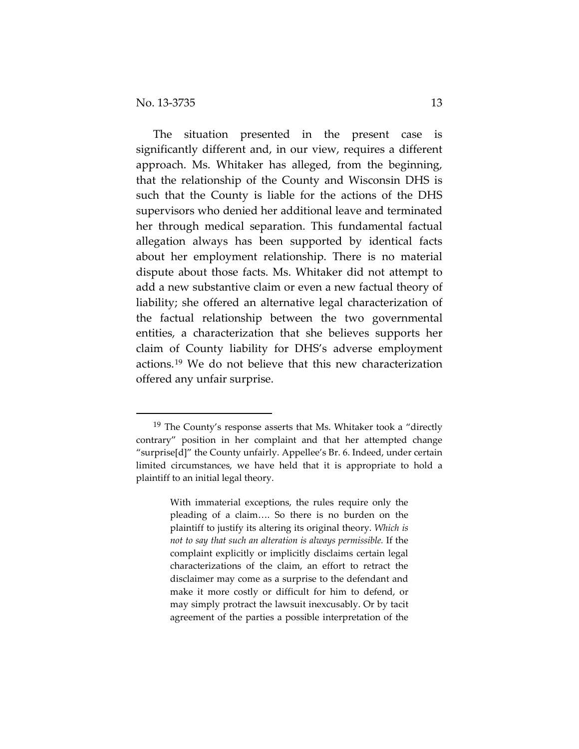$\overline{a}$ 

The situation presented in the present case is significantly different and, in our view, requires a different approach. Ms. Whitaker has alleged, from the beginning, that the relationship of the County and Wisconsin DHS is such that the County is liable for the actions of the DHS supervisors who denied her additional leave and terminated her through medical separation. This fundamental factual allegation always has been supported by identical facts about her employment relationship. There is no material dispute about those facts. Ms. Whitaker did not attempt to add a new substantive claim or even a new factual theory of liability; she offered an alternative legal characterization of the factual relationship between the two governmental entities, a characterization that she believes supports her claim of County liability for DHS's adverse employment actions.[19](#page-12-0) We do not believe that this new characterization offered any unfair surprise.

<span id="page-12-0"></span> $19$  The County's response asserts that Ms. Whitaker took a "directly contrary" position in her complaint and that her attempted change "surprise[d]" the County unfairly. Appellee's Br. 6. Indeed, under certain limited circumstances, we have held that it is appropriate to hold a plaintiff to an initial legal theory.

With immaterial exceptions, the rules require only the pleading of a claim…. So there is no burden on the plaintiff to justify its altering its original theory. *Which is not to say that such an alteration is always permissible.* If the complaint explicitly or implicitly disclaims certain legal characterizations of the claim, an effort to retract the disclaimer may come as a surprise to the defendant and make it more costly or difficult for him to defend, or may simply protract the lawsuit inexcusably. Or by tacit agreement of the parties a possible interpretation of the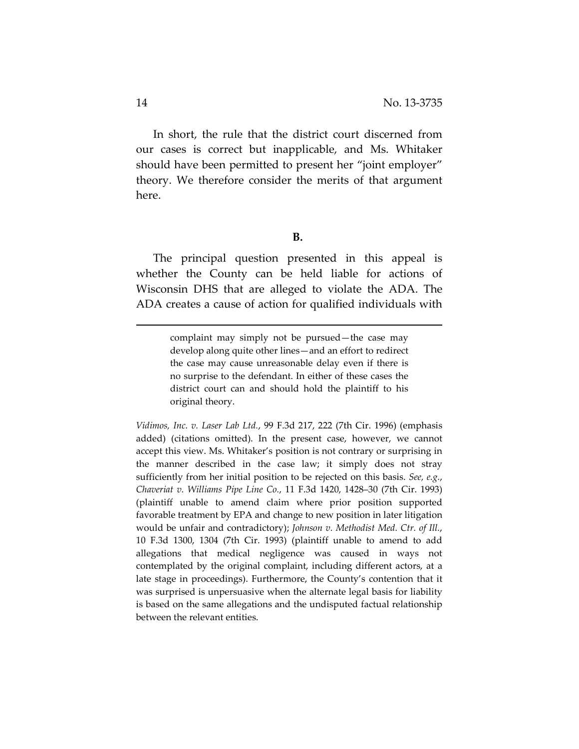In short, the rule that the district court discerned from our cases is correct but inapplicable, and Ms. Whitaker should have been permitted to present her "joint employer" theory. We therefore consider the merits of that argument here.

#### **B.**

The principal question presented in this appeal is whether the County can be held liable for actions of Wisconsin DHS that are alleged to violate the ADA. The ADA creates a cause of action for qualified individuals with

> complaint may simply not be pursued—the case may develop along quite other lines—and an effort to redirect the case may cause unreasonable delay even if there is no surprise to the defendant. In either of these cases the district court can and should hold the plaintiff to his original theory.

*Vidimos, Inc. v. Laser Lab Ltd.*, 99 F.3d 217, 222 (7th Cir. 1996) (emphasis added) (citations omitted). In the present case, however, we cannot accept this view. Ms. Whitaker's position is not contrary or surprising in the manner described in the case law; it simply does not stray sufficiently from her initial position to be rejected on this basis. *See, e.g.*, *Chaveriat v. Williams Pipe Line Co.*, 11 F.3d 1420, 1428–30 (7th Cir. 1993) (plaintiff unable to amend claim where prior position supported favorable treatment by EPA and change to new position in later litigation would be unfair and contradictory); *Johnson v. Methodist Med. Ctr. of Ill.*, 10 F.3d 1300, 1304 (7th Cir. 1993) (plaintiff unable to amend to add allegations that medical negligence was caused in ways not contemplated by the original complaint, including different actors, at a late stage in proceedings). Furthermore, the County's contention that it was surprised is unpersuasive when the alternate legal basis for liability is based on the same allegations and the undisputed factual relationship between the relevant entities.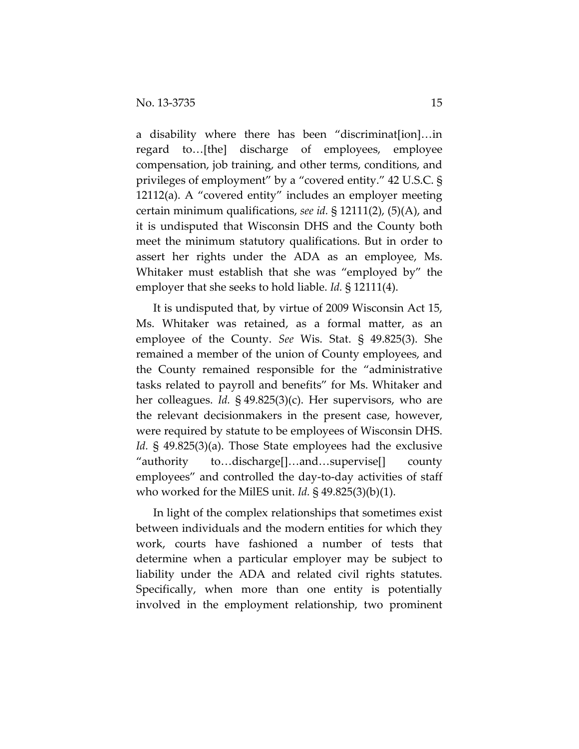a disability where there has been "discriminat[ion]…in regard to…[the] discharge of employees, employee compensation, job training, and other terms, conditions, and privileges of employment" by a "covered entity." 42 U.S.C. § 12112(a). A "covered entity" includes an employer meeting certain minimum qualifications, *see id.* § 12111(2), (5)(A), and it is undisputed that Wisconsin DHS and the County both meet the minimum statutory qualifications. But in order to assert her rights under the ADA as an employee, Ms. Whitaker must establish that she was "employed by" the employer that she seeks to hold liable. *Id.* § 12111(4).

It is undisputed that, by virtue of 2009 Wisconsin Act 15, Ms. Whitaker was retained, as a formal matter, as an employee of the County. *See* Wis. Stat. § 49.825(3). She remained a member of the union of County employees, and the County remained responsible for the "administrative tasks related to payroll and benefits" for Ms. Whitaker and her colleagues. *Id.* § 49.825(3)(c). Her supervisors, who are the relevant decisionmakers in the present case, however, were required by statute to be employees of Wisconsin DHS. *Id.* § 49.825(3)(a). Those State employees had the exclusive "authority to…discharge[]…and…supervise[] county employees" and controlled the day-to-day activities of staff who worked for the MilES unit. *Id.* § 49.825(3)(b)(1).

In light of the complex relationships that sometimes exist between individuals and the modern entities for which they work, courts have fashioned a number of tests that determine when a particular employer may be subject to liability under the ADA and related civil rights statutes. Specifically, when more than one entity is potentially involved in the employment relationship, two prominent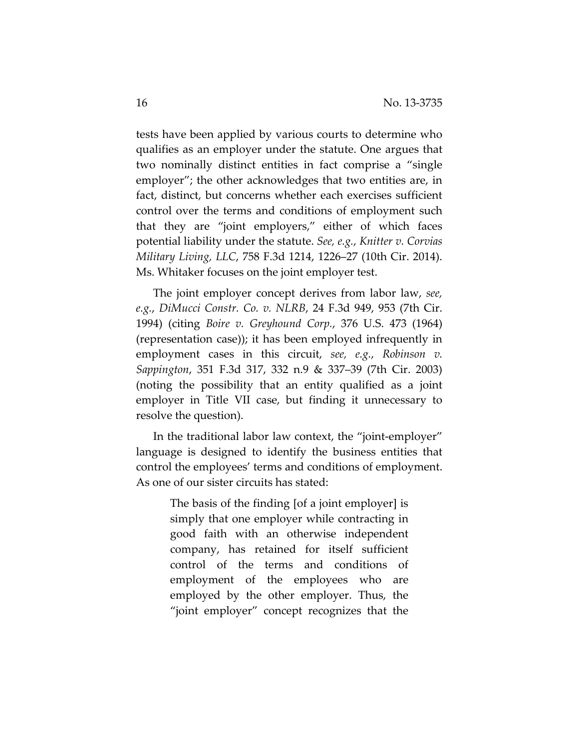tests have been applied by various courts to determine who qualifies as an employer under the statute. One argues that two nominally distinct entities in fact comprise a "single employer"; the other acknowledges that two entities are, in fact, distinct, but concerns whether each exercises sufficient control over the terms and conditions of employment such that they are "joint employers," either of which faces potential liability under the statute. *See, e.g.*, *Knitter v. Corvias Military Living, LLC*, 758 F.3d 1214, 1226–27 (10th Cir. 2014). Ms. Whitaker focuses on the joint employer test.

The joint employer concept derives from labor law, *see, e.g.*, *DiMucci Constr. Co. v. NLRB*, 24 F.3d 949, 953 (7th Cir. 1994) (citing *Boire v. Greyhound Corp.*, 376 U.S. 473 (1964) (representation case)); it has been employed infrequently in employment cases in this circuit, *see, e.g.*, *Robinson v. Sappington*, 351 F.3d 317, 332 n.9 & 337–39 (7th Cir. 2003) (noting the possibility that an entity qualified as a joint employer in Title VII case, but finding it unnecessary to resolve the question).

In the traditional labor law context, the "joint-employer" language is designed to identify the business entities that control the employees' terms and conditions of employment. As one of our sister circuits has stated:

> The basis of the finding [of a joint employer] is simply that one employer while contracting in good faith with an otherwise independent company, has retained for itself sufficient control of the terms and conditions of employment of the employees who are employed by the other employer. Thus, the "joint employer" concept recognizes that the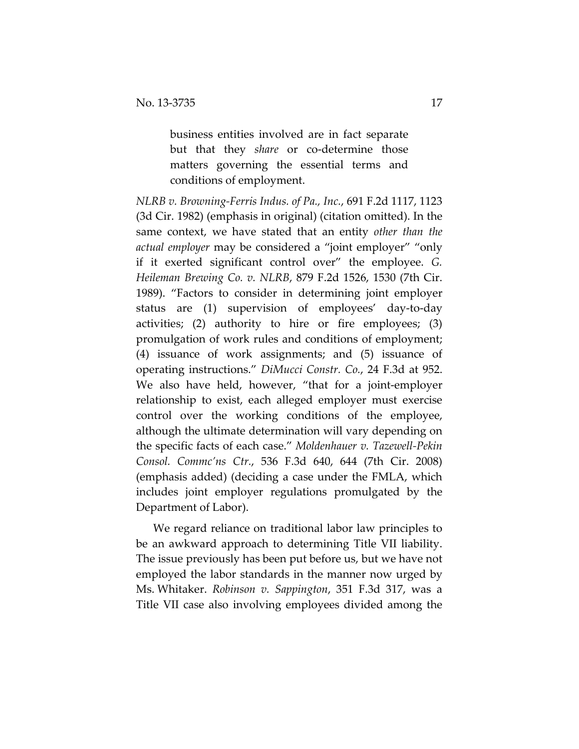business entities involved are in fact separate but that they *share* or co-determine those matters governing the essential terms and conditions of employment.

*NLRB v. Browning-Ferris Indus. of Pa., Inc.*, 691 F.2d 1117, 1123 (3d Cir. 1982) (emphasis in original) (citation omitted). In the same context, we have stated that an entity *other than the actual employer* may be considered a "joint employer" "only if it exerted significant control over" the employee. *G. Heileman Brewing Co. v. NLRB*, 879 F.2d 1526, 1530 (7th Cir. 1989). "Factors to consider in determining joint employer status are (1) supervision of employees' day-to-day activities; (2) authority to hire or fire employees; (3) promulgation of work rules and conditions of employment; (4) issuance of work assignments; and (5) issuance of operating instructions." *DiMucci Constr. Co.*, 24 F.3d at 952. We also have held, however, "that for a joint-employer relationship to exist, each alleged employer must exercise control over the working conditions of the employee, although the ultimate determination will vary depending on the specific facts of each case." *Moldenhauer v. Tazewell-Pekin Consol. Commc'ns Ctr.*, 536 F.3d 640, 644 (7th Cir. 2008) (emphasis added) (deciding a case under the FMLA, which includes joint employer regulations promulgated by the Department of Labor).

We regard reliance on traditional labor law principles to be an awkward approach to determining Title VII liability. The issue previously has been put before us, but we have not employed the labor standards in the manner now urged by Ms. Whitaker. *Robinson v. Sappington*, 351 F.3d 317, was a Title VII case also involving employees divided among the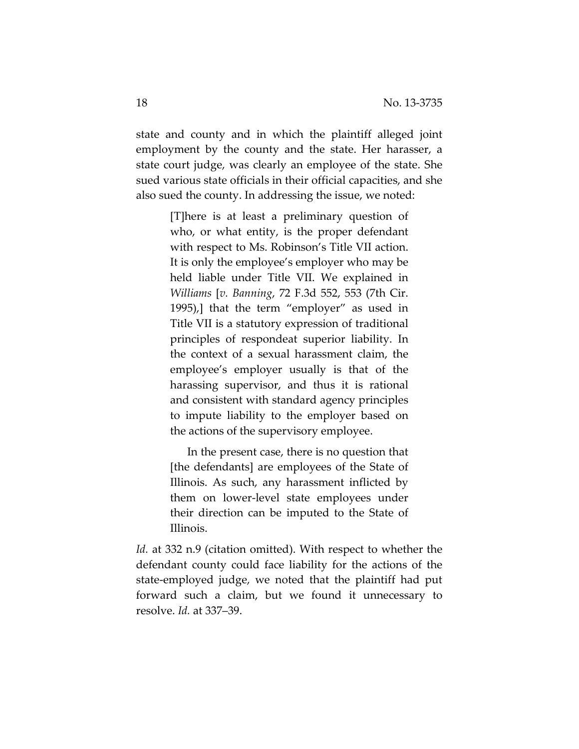state and county and in which the plaintiff alleged joint employment by the county and the state. Her harasser, a state court judge, was clearly an employee of the state. She sued various state officials in their official capacities, and she also sued the county. In addressing the issue, we noted:

> [T]here is at least a preliminary question of who, or what entity, is the proper defendant with respect to Ms. Robinson's Title VII action. It is only the employee's employer who may be held liable under Title VII. We explained in *Williams* [*v. Banning*, 72 F.3d 552, 553 (7th Cir. 1995),] that the term "employer" as used in Title VII is a statutory expression of traditional principles of respondeat superior liability. In the context of a sexual harassment claim, the employee's employer usually is that of the harassing supervisor, and thus it is rational and consistent with standard agency principles to impute liability to the employer based on the actions of the supervisory employee.

> In the present case, there is no question that [the defendants] are employees of the State of Illinois. As such, any harassment inflicted by them on lower-level state employees under their direction can be imputed to the State of Illinois.

*Id.* at 332 n.9 (citation omitted). With respect to whether the defendant county could face liability for the actions of the state-employed judge, we noted that the plaintiff had put forward such a claim, but we found it unnecessary to resolve. *Id.* at 337–39.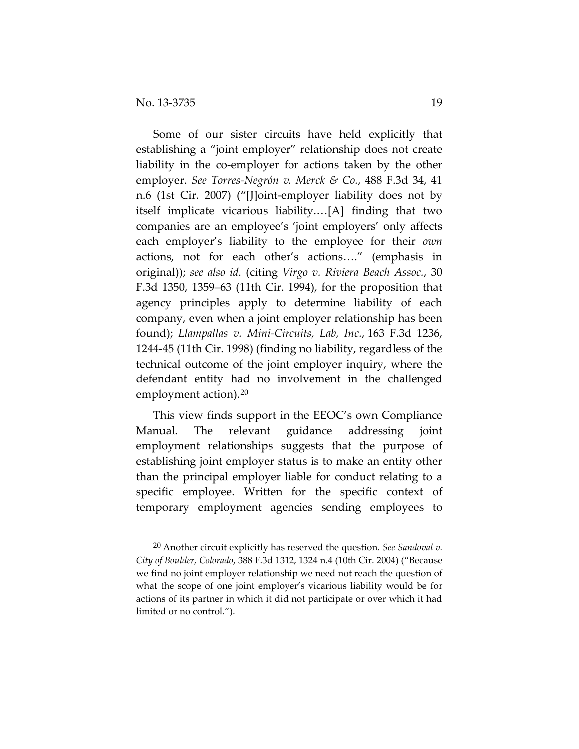$\overline{a}$ 

Some of our sister circuits have held explicitly that establishing a "joint employer" relationship does not create liability in the co-employer for actions taken by the other employer. *See Torres-Negrón v. Merck & Co.*, 488 F.3d 34, 41 n.6 (1st Cir. 2007) ("[J]oint-employer liability does not by itself implicate vicarious liability.…[A] finding that two companies are an employee's 'joint employers' only affects each employer's liability to the employee for their *own* actions, not for each other's actions…." (emphasis in original)); *see also id.* (citing *Virgo v. Riviera Beach Assoc.*, 30 F.3d 1350, 1359–63 (11th Cir. 1994), for the proposition that agency principles apply to determine liability of each company, even when a joint employer relationship has been found); *Llampallas v. Mini-Circuits, Lab, Inc.*, 163 F.3d 1236, 1244-45 (11th Cir. 1998) (finding no liability, regardless of the technical outcome of the joint employer inquiry, where the defendant entity had no involvement in the challenged employment action).<sup>[20](#page-18-0)</sup>

This view finds support in the EEOC's own Compliance Manual. The relevant guidance addressing joint employment relationships suggests that the purpose of establishing joint employer status is to make an entity other than the principal employer liable for conduct relating to a specific employee. Written for the specific context of temporary employment agencies sending employees to

<span id="page-18-0"></span><sup>20</sup> Another circuit explicitly has reserved the question. *See Sandoval v. City of Boulder, Colorado*, 388 F.3d 1312, 1324 n.4 (10th Cir. 2004) ("Because we find no joint employer relationship we need not reach the question of what the scope of one joint employer's vicarious liability would be for actions of its partner in which it did not participate or over which it had limited or no control.").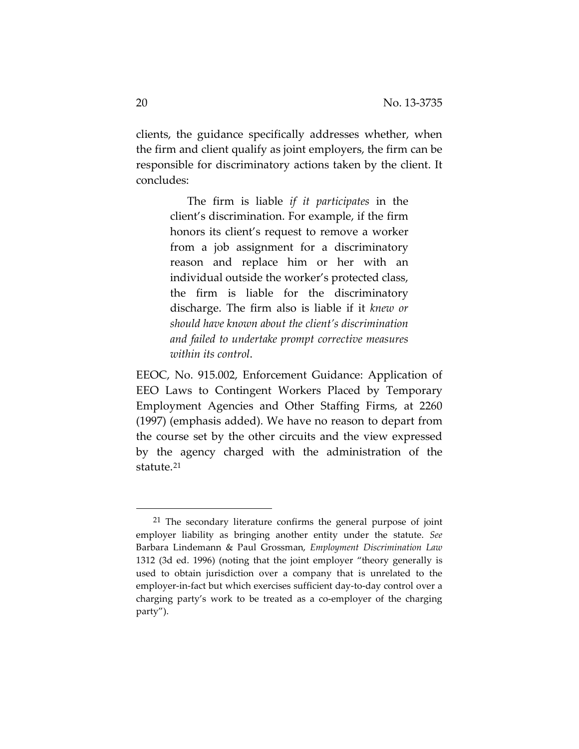clients, the guidance specifically addresses whether, when the firm and client qualify as joint employers, the firm can be responsible for discriminatory actions taken by the client. It concludes:

> The firm is liable *if it participates* in the client's discrimination. For example, if the firm honors its client's request to remove a worker from a job assignment for a discriminatory reason and replace him or her with an individual outside the worker's protected class, the firm is liable for the discriminatory discharge. The firm also is liable if it *knew or should have known about the client's discrimination and failed to undertake prompt corrective measures within its control*.

EEOC, No. 915.002, Enforcement Guidance: Application of EEO Laws to Contingent Workers Placed by Temporary Employment Agencies and Other Staffing Firms, at 2260 (1997) (emphasis added). We have no reason to depart from the course set by the other circuits and the view expressed by the agency charged with the administration of the statute.[21](#page-19-0)

<span id="page-19-0"></span><sup>&</sup>lt;sup>21</sup> The secondary literature confirms the general purpose of joint employer liability as bringing another entity under the statute. *See* Barbara Lindemann & Paul Grossman, *Employment Discrimination Law* 1312 (3d ed. 1996) (noting that the joint employer "theory generally is used to obtain jurisdiction over a company that is unrelated to the employer-in-fact but which exercises sufficient day-to-day control over a charging party's work to be treated as a co-employer of the charging party").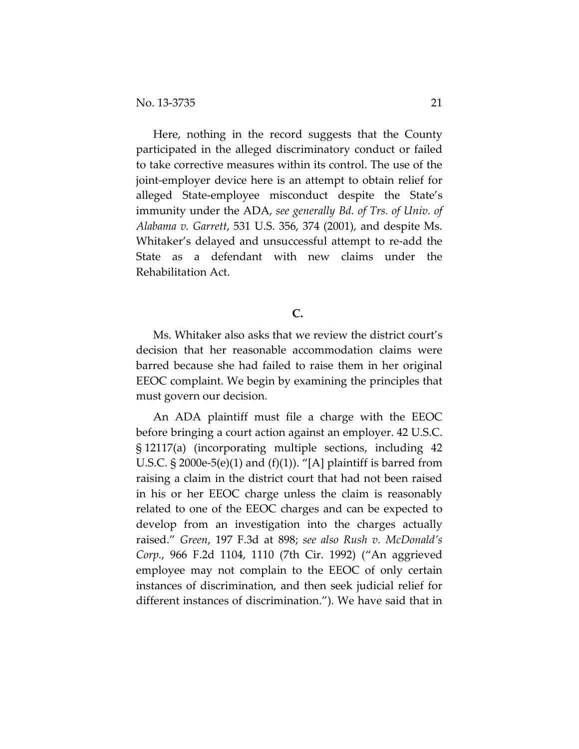Here, nothing in the record suggests that the County participated in the alleged discriminatory conduct or failed to take corrective measures within its control. The use of the joint-employer device here is an attempt to obtain relief for alleged State-employee misconduct despite the State's immunity under the ADA, *see generally Bd. of Trs. of Univ. of Alabama v. Garrett*, 531 U.S. 356, 374 (2001), and despite Ms. Whitaker's delayed and unsuccessful attempt to re-add the State as a defendant with new claims under the Rehabilitation Act.

## **C.**

Ms. Whitaker also asks that we review the district court's decision that her reasonable accommodation claims were barred because she had failed to raise them in her original EEOC complaint. We begin by examining the principles that must govern our decision.

An ADA plaintiff must file a charge with the EEOC before bringing a court action against an employer. 42 U.S.C. § 12117(a) (incorporating multiple sections, including 42 U.S.C.  $\S 2000e-5(e)(1)$  and  $(f)(1)$ ). "[A] plaintiff is barred from raising a claim in the district court that had not been raised in his or her EEOC charge unless the claim is reasonably related to one of the EEOC charges and can be expected to develop from an investigation into the charges actually raised." *Green*, 197 F.3d at 898; *see also Rush v. McDonald's Corp.*, 966 F.2d 1104, 1110 (7th Cir. 1992) ("An aggrieved employee may not complain to the EEOC of only certain instances of discrimination, and then seek judicial relief for different instances of discrimination."). We have said that in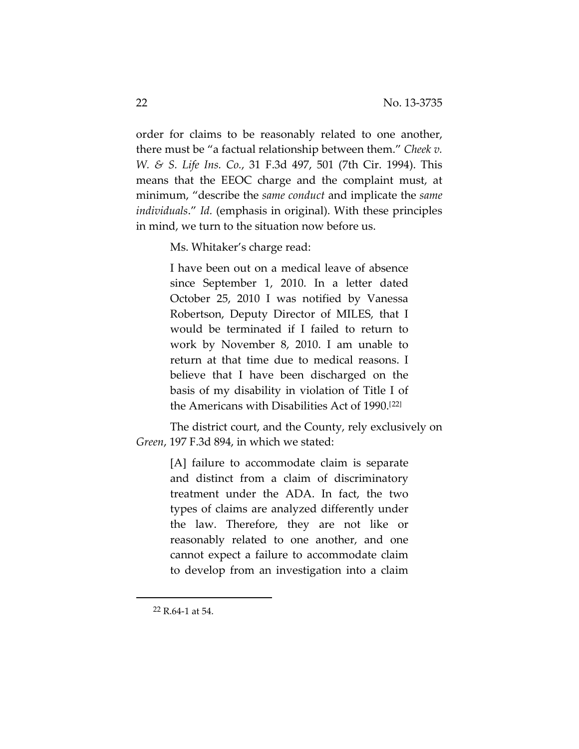order for claims to be reasonably related to one another, there must be "a factual relationship between them." *Cheek v. W. & S. Life Ins. Co.*, 31 F.3d 497, 501 (7th Cir. 1994). This means that the EEOC charge and the complaint must, at minimum, "describe the *same conduct* and implicate the *same individuals*." *Id.* (emphasis in original). With these principles in mind, we turn to the situation now before us.

Ms. Whitaker's charge read:

I have been out on a medical leave of absence since September 1, 2010. In a letter dated October 25, 2010 I was notified by Vanessa Robertson, Deputy Director of MILES, that I would be terminated if I failed to return to work by November 8, 2010. I am unable to return at that time due to medical reasons. I believe that I have been discharged on the basis of my disability in violation of Title I of the Americans with Disabilities Act of 1990.[[22\]](#page-21-0)

The district court, and the County, rely exclusively on *Green*, 197 F.3d 894, in which we stated:

> [A] failure to accommodate claim is separate and distinct from a claim of discriminatory treatment under the ADA. In fact, the two types of claims are analyzed differently under the law. Therefore, they are not like or reasonably related to one another, and one cannot expect a failure to accommodate claim to develop from an investigation into a claim

<span id="page-21-0"></span><sup>22</sup> R.64-1 at 54.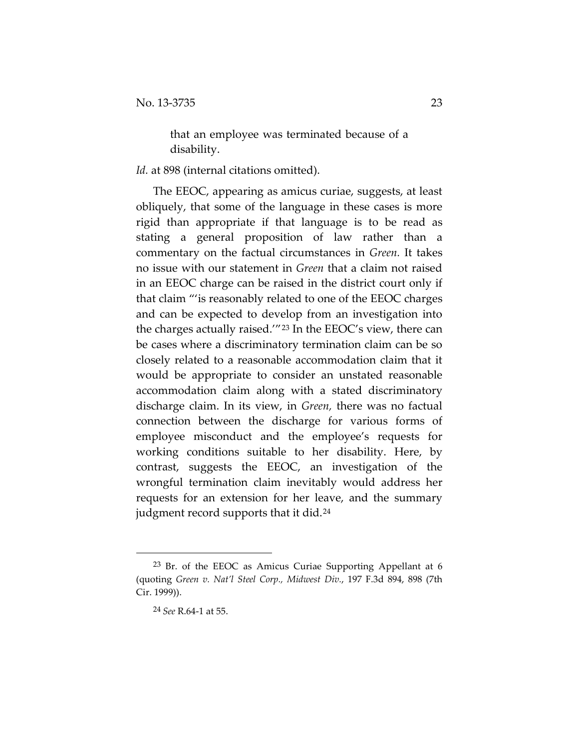that an employee was terminated because of a disability.

Id. at 898 (internal citations omitted).

The EEOC, appearing as amicus curiae, suggests, at least obliquely, that some of the language in these cases is more rigid than appropriate if that language is to be read as stating a general proposition of law rather than a commentary on the factual circumstances in *Green.* It takes no issue with our statement in *Green* that a claim not raised in an EEOC charge can be raised in the district court only if that claim "'is reasonably related to one of the EEOC charges and can be expected to develop from an investigation into the charges actually raised.'"[23](#page-22-0) In the EEOC's view, there can be cases where a discriminatory termination claim can be so closely related to a reasonable accommodation claim that it would be appropriate to consider an unstated reasonable accommodation claim along with a stated discriminatory discharge claim. In its view, in *Green,* there was no factual connection between the discharge for various forms of employee misconduct and the employee's requests for working conditions suitable to her disability. Here, by contrast, suggests the EEOC, an investigation of the wrongful termination claim inevitably would address her requests for an extension for her leave, and the summary judgment record supports that it did.<sup>[24](#page-22-1)</sup>

<span id="page-22-1"></span><span id="page-22-0"></span><sup>&</sup>lt;sup>23</sup> Br. of the EEOC as Amicus Curiae Supporting Appellant at 6 (quoting *Green v. Nat'l Steel Corp., Midwest Div.*, 197 F.3d 894, 898 (7th Cir. 1999)).

<sup>24</sup> *See* R.64-1 at 55.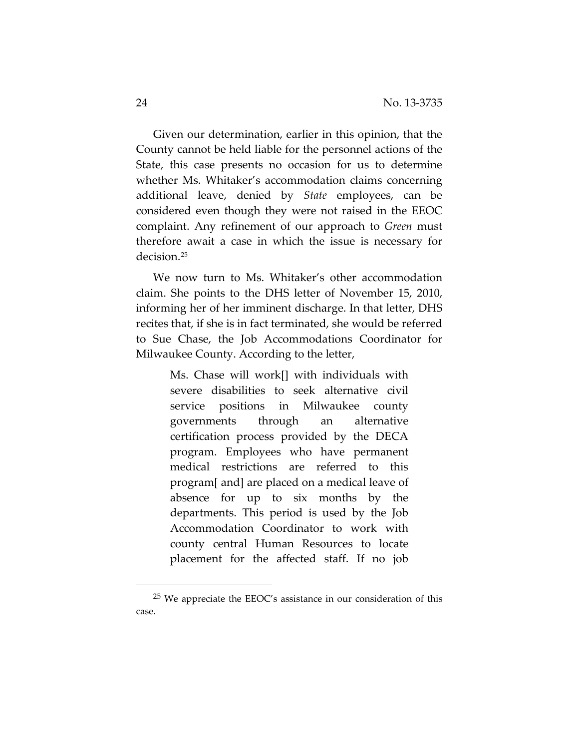Given our determination, earlier in this opinion, that the County cannot be held liable for the personnel actions of the State, this case presents no occasion for us to determine whether Ms. Whitaker's accommodation claims concerning additional leave, denied by *State* employees, can be considered even though they were not raised in the EEOC complaint. Any refinement of our approach to *Green* must therefore await a case in which the issue is necessary for decision.[25](#page-23-0)

We now turn to Ms. Whitaker's other accommodation claim. She points to the DHS letter of November 15, 2010, informing her of her imminent discharge. In that letter, DHS recites that, if she is in fact terminated, she would be referred to Sue Chase, the Job Accommodations Coordinator for Milwaukee County. According to the letter,

> Ms. Chase will work[] with individuals with severe disabilities to seek alternative civil service positions in Milwaukee county governments through an alternative certification process provided by the DECA program. Employees who have permanent medical restrictions are referred to this program[ and] are placed on a medical leave of absence for up to six months by the departments. This period is used by the Job Accommodation Coordinator to work with county central Human Resources to locate placement for the affected staff. If no job

<span id="page-23-0"></span><sup>25</sup> We appreciate the EEOC's assistance in our consideration of this case.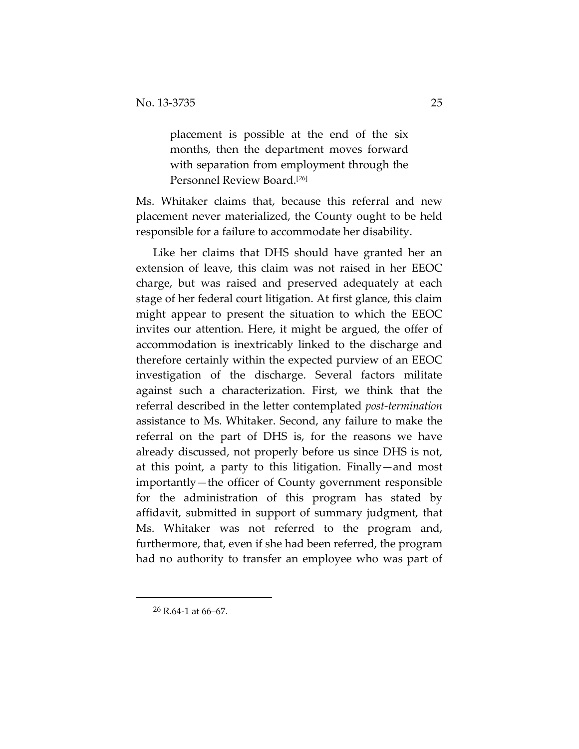placement is possible at the end of the six months, then the department moves forward with separation from employment through the Personnel Review Board.[[26](#page-24-0)]

Ms. Whitaker claims that, because this referral and new placement never materialized, the County ought to be held responsible for a failure to accommodate her disability.

Like her claims that DHS should have granted her an extension of leave, this claim was not raised in her EEOC charge, but was raised and preserved adequately at each stage of her federal court litigation. At first glance, this claim might appear to present the situation to which the EEOC invites our attention. Here, it might be argued, the offer of accommodation is inextricably linked to the discharge and therefore certainly within the expected purview of an EEOC investigation of the discharge. Several factors militate against such a characterization. First, we think that the referral described in the letter contemplated *post-termination*  assistance to Ms. Whitaker. Second, any failure to make the referral on the part of DHS is, for the reasons we have already discussed, not properly before us since DHS is not, at this point, a party to this litigation. Finally—and most importantly—the officer of County government responsible for the administration of this program has stated by affidavit, submitted in support of summary judgment, that Ms. Whitaker was not referred to the program and, furthermore, that, even if she had been referred, the program had no authority to transfer an employee who was part of

<span id="page-24-0"></span><sup>26</sup> R.64-1 at 66–67.